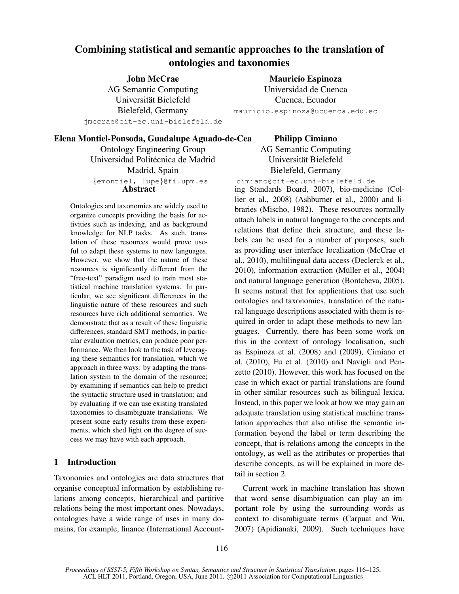# Combining statistical and semantic approaches to the translation of ontologies and taxonomies

John McCrae AG Semantic Computing Universitat Bielefeld ¨ Bielefeld, Germany

jmccrae@cit-ec.uni-bielefeld.de

Mauricio Espinoza Universidad de Cuenca Cuenca, Ecuador mauricio.espinoza@ucuenca.edu.ec

#### Elena Montiel-Ponsoda, Guadalupe Aguado-de-Cea

Ontology Engineering Group Universidad Politécnica de Madrid Madrid, Spain *{*emontiel, lupe*}*@fi.upm.es Abstract

Ontologies and taxonomies are widely used to organize concepts providing the basis for activities such as indexing, and as background knowledge for NLP tasks. As such, translation of these resources would prove useful to adapt these systems to new languages. However, we show that the nature of these resources is significantly different from the "free-text" paradigm used to train most statistical machine translation systems. In particular, we see significant differences in the linguistic nature of these resources and such resources have rich additional semantics. We demonstrate that as a result of these linguistic differences, standard SMT methods, in particular evaluation metrics, can produce poor performance. We then look to the task of leveraging these semantics for translation, which we approach in three ways: by adapting the translation system to the domain of the resource; by examining if semantics can help to predict the syntactic structure used in translation; and by evaluating if we can use existing translated taxonomies to disambiguate translations. We present some early results from these experiments, which shed light on the degree of success we may have with each approach.

# 1 Introduction

Taxonomies and ontologies are data structures that organise conceptual information by establishing relations among concepts, hierarchical and partitive relations being the most important ones. Nowadays, ontologies have a wide range of uses in many domains, for example, finance (International Account-

Philipp Cimiano AG Semantic Computing Universitat Bielefeld ¨ Bielefeld, Germany

cimiano@cit-ec.uni-bielefeld.de

ing Standards Board, 2007), bio-medicine (Collier et al., 2008) (Ashburner et al., 2000) and libraries (Mischo, 1982). These resources normally attach labels in natural language to the concepts and relations that define their structure, and these labels can be used for a number of purposes, such as providing user interface localization (McCrae et al., 2010), multilingual data access (Declerck et al.,  $2010$ ), information extraction (Müller et al.,  $2004$ ) and natural language generation (Bontcheva, 2005). It seems natural that for applications that use such ontologies and taxonomies, translation of the natural language descriptions associated with them is required in order to adapt these methods to new languages. Currently, there has been some work on this in the context of ontology localisation, such as Espinoza et al. (2008) and (2009), Cimiano et al. (2010), Fu et al. (2010) and Navigli and Penzetto (2010). However, this work has focused on the case in which exact or partial translations are found in other similar resources such as bilingual lexica. Instead, in this paper we look at how we may gain an adequate translation using statistical machine translation approaches that also utilise the semantic information beyond the label or term describing the concept, that is relations among the concepts in the ontology, as well as the attributes or properties that describe concepts, as will be explained in more detail in section 2.

Current work in machine translation has shown that word sense disambiguation can play an important role by using the surrounding words as context to disambiguate terms (Carpuat and Wu, 2007) (Apidianaki, 2009). Such techniques have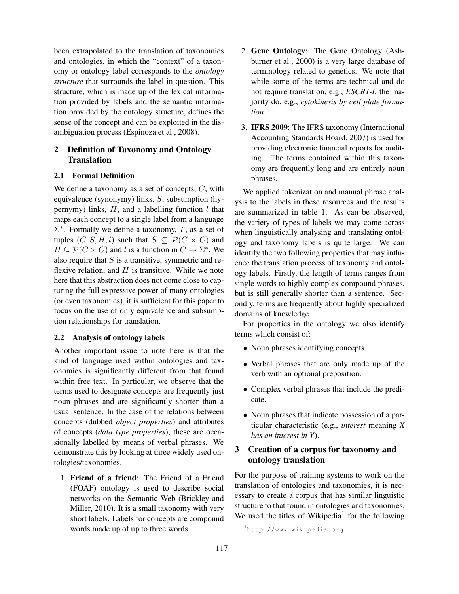been extrapolated to the translation of taxonomies and ontologies, in which the "context" of a taxonomy or ontology label corresponds to the *ontology structure* that surrounds the label in question. This structure, which is made up of the lexical information provided by labels and the semantic information provided by the ontology structure, defines the sense of the concept and can be exploited in the disambiguation process (Espinoza et al., 2008).

# 2 Definition of Taxonomy and Ontology **Translation**

### 2.1 Formal Definition

We define a taxonomy as a set of concepts, *C*, with equivalence (synonymy) links, *S*, subsumption (hypernymy) links, *H*, and a labelling function *l* that maps each concept to a single label from a language Σ *∗* . Formally we define a taxonomy, *T*, as a set of tuples  $(C, S, H, l)$  such that  $S \subseteq \mathcal{P}(C \times C)$  and  $H \subseteq \mathcal{P}(C \times C)$  and *l* is a function in  $C \to \Sigma^*$ . We also require that *S* is a transitive, symmetric and reflexive relation, and *H* is transitive. While we note here that this abstraction does not come close to capturing the full expressive power of many ontologies (or even taxonomies), it is sufficient for this paper to focus on the use of only equivalence and subsumption relationships for translation.

### 2.2 Analysis of ontology labels

Another important issue to note here is that the kind of language used within ontologies and taxonomies is significantly different from that found within free text. In particular, we observe that the terms used to designate concepts are frequently just noun phrases and are significantly shorter than a usual sentence. In the case of the relations between concepts (dubbed *object properties*) and attributes of concepts (*data type properties*), these are occasionally labelled by means of verbal phrases. We demonstrate this by looking at three widely used ontologies/taxonomies.

1. Friend of a friend: The Friend of a Friend (FOAF) ontology is used to describe social networks on the Semantic Web (Brickley and Miller, 2010). It is a small taxonomy with very short labels. Labels for concepts are compound words made up of up to three words.

- 2. Gene Ontology: The Gene Ontology (Ashburner et al., 2000) is a very large database of terminology related to genetics. We note that while some of the terms are technical and do not require translation, e.g., *ESCRT-I*, the majority do, e.g., *cytokinesis by cell plate formation*.
- 3. IFRS 2009: The IFRS taxonomy (International Accounting Standards Board, 2007) is used for providing electronic financial reports for auditing. The terms contained within this taxonomy are frequently long and are entirely noun phrases.

We applied tokenization and manual phrase analysis to the labels in these resources and the results are summarized in table 1. As can be observed, the variety of types of labels we may come across when linguistically analysing and translating ontology and taxonomy labels is quite large. We can identify the two following properties that may influence the translation process of taxonomy and ontology labels. Firstly, the length of terms ranges from single words to highly complex compound phrases, but is still generally shorter than a sentence. Secondly, terms are frequently about highly specialized domains of knowledge.

For properties in the ontology we also identify terms which consist of:

- Noun phrases identifying concepts.
- *•* Verbal phrases that are only made up of the verb with an optional preposition.
- *•* Complex verbal phrases that include the predicate.
- *•* Noun phrases that indicate possession of a particular characteristic (e.g., *interest* meaning *X has an interest in Y*).

# 3 Creation of a corpus for taxonomy and ontology translation

For the purpose of training systems to work on the translation of ontologies and taxonomies, it is necessary to create a corpus that has similar linguistic structure to that found in ontologies and taxonomies. We used the titles of Wikipedia<sup>1</sup> for the following

<sup>1</sup>http://www.wikipedia.org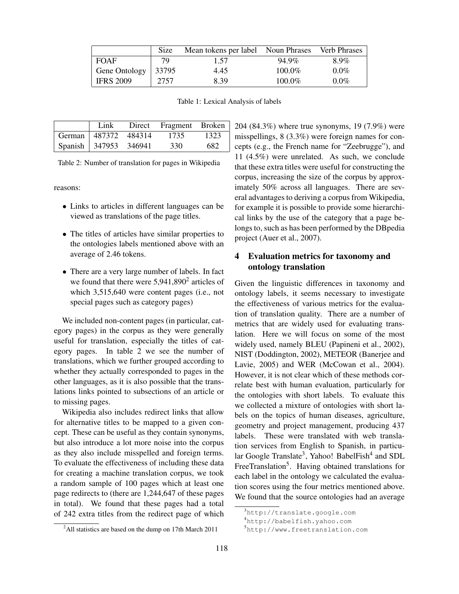|                       | <b>Size</b> | Mean tokens per label Noun Phrases |           | <b>Verb Phrases</b> |
|-----------------------|-------------|------------------------------------|-----------|---------------------|
| <b>FOAF</b>           | 79          | 1.57                               | 94.9%     | 8.9%                |
| Gene Ontology   33795 |             | 4.45                               | $100.0\%$ | $0.0\%$             |
| <b>IFRS 2009</b>      | 2757        | 8.39                               | $100.0\%$ | $0.0\%$             |

Table 1: Lexical Analysis of labels

|                       | Link | Direct Fragment Broken |      |
|-----------------------|------|------------------------|------|
| German 487372 484314  |      | 1735                   | 1323 |
| Spanish 347953 346941 |      | 330                    | 682  |

Table 2: Number of translation for pages in Wikipedia

reasons:

- *•* Links to articles in different languages can be viewed as translations of the page titles.
- The titles of articles have similar properties to the ontologies labels mentioned above with an average of 2.46 tokens.
- *•* There are a very large number of labels. In fact we found that there were  $5,941,890^2$  articles of which 3,515,640 were content pages (i.e., not special pages such as category pages)

We included non-content pages (in particular, category pages) in the corpus as they were generally useful for translation, especially the titles of category pages. In table 2 we see the number of translations, which we further grouped according to whether they actually corresponded to pages in the other languages, as it is also possible that the translations links pointed to subsections of an article or to missing pages.

Wikipedia also includes redirect links that allow for alternative titles to be mapped to a given concept. These can be useful as they contain synonyms, but also introduce a lot more noise into the corpus as they also include misspelled and foreign terms. To evaluate the effectiveness of including these data for creating a machine translation corpus, we took a random sample of 100 pages which at least one page redirects to (there are 1,244,647 of these pages in total). We found that these pages had a total of 242 extra titles from the redirect page of which

 $2$ All statistics are based on the dump on 17th March 2011

204 (84.3%) where true synonyms, 19 (7.9%) were misspellings, 8 (3.3%) were foreign names for concepts (e.g., the French name for "Zeebrugge"), and 11 (4.5%) were unrelated. As such, we conclude that these extra titles were useful for constructing the corpus, increasing the size of the corpus by approximately 50% across all languages. There are several advantages to deriving a corpus from Wikipedia, for example it is possible to provide some hierarchical links by the use of the category that a page belongs to, such as has been performed by the DBpedia project (Auer et al., 2007).

# 4 Evaluation metrics for taxonomy and ontology translation

Given the linguistic differences in taxonomy and ontology labels, it seems necessary to investigate the effectiveness of various metrics for the evaluation of translation quality. There are a number of metrics that are widely used for evaluating translation. Here we will focus on some of the most widely used, namely BLEU (Papineni et al., 2002), NIST (Doddington, 2002), METEOR (Banerjee and Lavie, 2005) and WER (McCowan et al., 2004). However, it is not clear which of these methods correlate best with human evaluation, particularly for the ontologies with short labels. To evaluate this we collected a mixture of ontologies with short labels on the topics of human diseases, agriculture, geometry and project management, producing 437 labels. These were translated with web translation services from English to Spanish, in particular Google Translate<sup>3</sup>, Yahoo! BabelFish<sup>4</sup> and SDL FreeTranslation<sup>5</sup>. Having obtained translations for each label in the ontology we calculated the evaluation scores using the four metrics mentioned above. We found that the source ontologies had an average

<sup>3</sup>http://translate.google.com

<sup>4</sup>http://babelfish.yahoo.com

<sup>5</sup>http://www.freetranslation.com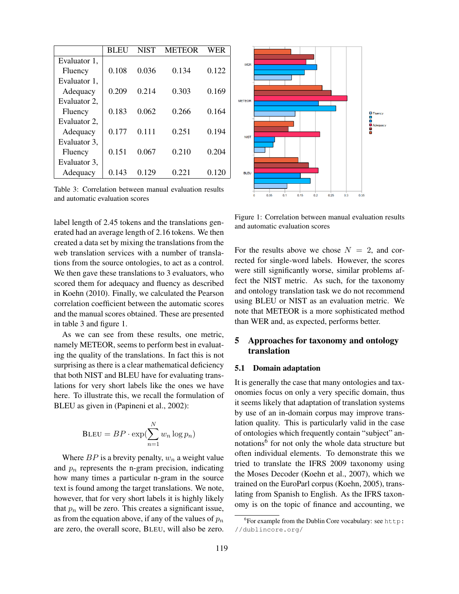|              | BL EU | <b>NIST</b> | METEOR | WER   |
|--------------|-------|-------------|--------|-------|
| Evaluator 1, |       |             |        |       |
| Fluency      | 0.108 | 0.036       | 0.134  | 0.122 |
| Evaluator 1, |       |             |        |       |
| Adequacy     | 0.209 | 0.214       | 0.303  | 0.169 |
| Evaluator 2, |       |             |        |       |
| Fluency      | 0.183 | 0.062       | 0.266  | 0.164 |
| Evaluator 2. |       |             |        |       |
| Adequacy     | 0.177 | 0.111       | 0.251  | 0.194 |
| Evaluator 3, |       |             |        |       |
| Fluency      | 0.151 | 0.067       | 0.210  | 0.204 |
| Evaluator 3, |       |             |        |       |
| Adequacy     | 0.143 | 0.129       | 0.221  | 0.120 |

Table 3: Correlation between manual evaluation results and automatic evaluation scores

label length of 2.45 tokens and the translations generated had an average length of 2.16 tokens. We then created a data set by mixing the translations from the web translation services with a number of translations from the source ontologies, to act as a control. We then gave these translations to 3 evaluators, who scored them for adequacy and fluency as described in Koehn (2010). Finally, we calculated the Pearson correlation coefficient between the automatic scores and the manual scores obtained. These are presented in table 3 and figure 1.

As we can see from these results, one metric, namely METEOR, seems to perform best in evaluating the quality of the translations. In fact this is not surprising as there is a clear mathematical deficiency that both NIST and BLEU have for evaluating translations for very short labels like the ones we have here. To illustrate this, we recall the formulation of BLEU as given in (Papineni et al., 2002):

$$
\text{BLEU} = BP \cdot \exp(\sum_{n=1}^{N} w_n \log p_n)
$$

Where  $BP$  is a brevity penalty,  $w_n$  a weight value and  $p_n$  represents the n-gram precision, indicating how many times a particular n-gram in the source text is found among the target translations. We note, however, that for very short labels it is highly likely that  $p_n$  will be zero. This creates a significant issue, as from the equation above, if any of the values of *p<sup>n</sup>* are zero, the overall score, BLEU, will also be zero.



Figure 1: Correlation between manual evaluation results and automatic evaluation scores

For the results above we chose  $N = 2$ , and corrected for single-word labels. However, the scores were still significantly worse, similar problems affect the NIST metric. As such, for the taxonomy and ontology translation task we do not recommend using BLEU or NIST as an evaluation metric. We note that METEOR is a more sophisticated method than WER and, as expected, performs better.

# 5 Approaches for taxonomy and ontology translation

#### 5.1 Domain adaptation

It is generally the case that many ontologies and taxonomies focus on only a very specific domain, thus it seems likely that adaptation of translation systems by use of an in-domain corpus may improve translation quality. This is particularly valid in the case of ontologies which frequently contain "subject" annotations<sup>6</sup> for not only the whole data structure but often individual elements. To demonstrate this we tried to translate the IFRS 2009 taxonomy using the Moses Decoder (Koehn et al., 2007), which we trained on the EuroParl corpus (Koehn, 2005), translating from Spanish to English. As the IFRS taxonomy is on the topic of finance and accounting, we

 ${}^{6}$ For example from the Dublin Core vocabulary: see http: //dublincore.org/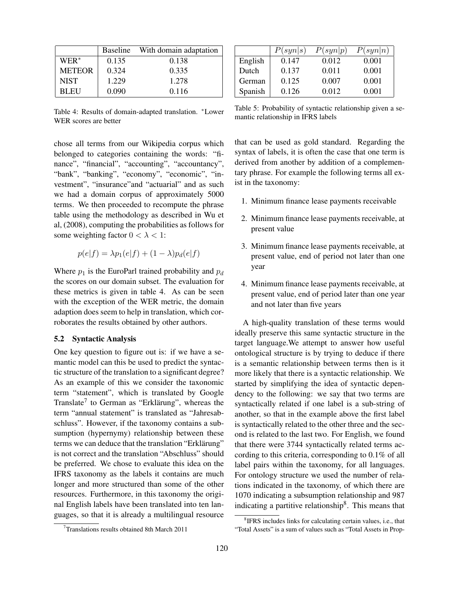|               |       | Baseline With domain adaptation |
|---------------|-------|---------------------------------|
| $WER^*$       | 0.135 | 0.138                           |
| <b>METEOR</b> | 0.324 | 0.335                           |
| <b>NIST</b>   | 1.229 | 1.278                           |
| <b>BLEU</b>   | 0.090 | 0.116                           |

Table 4: Results of domain-adapted translation. *<sup>∗</sup>*Lower WER scores are better

chose all terms from our Wikipedia corpus which belonged to categories containing the words: "finance", "financial", "accounting", "accountancy", "bank", "banking", "economy", "economic", "investment", "insurance"and "actuarial" and as such we had a domain corpus of approximately 5000 terms. We then proceeded to recompute the phrase table using the methodology as described in Wu et al, (2008), computing the probabilities as follows for some weighting factor  $0 < \lambda < 1$ :

$$
p(e|f) = \lambda p_1(e|f) + (1 - \lambda)p_d(e|f)
$$

Where  $p_1$  is the EuroParl trained probability and  $p_d$ the scores on our domain subset. The evaluation for these metrics is given in table 4. As can be seen with the exception of the WER metric, the domain adaption does seem to help in translation, which corroborates the results obtained by other authors.

#### 5.2 Syntactic Analysis

One key question to figure out is: if we have a semantic model can this be used to predict the syntactic structure of the translation to a significant degree? As an example of this we consider the taxonomic term "statement", which is translated by Google Translate<sup>7</sup> to German as "Erklärung", whereas the term "annual statement" is translated as "Jahresabschluss". However, if the taxonomy contains a subsumption (hypernymy) relationship between these terms we can deduce that the translation "Erklärung" is not correct and the translation "Abschluss" should be preferred. We chose to evaluate this idea on the IFRS taxonomy as the labels it contains are much longer and more structured than some of the other resources. Furthermore, in this taxonomy the original English labels have been translated into ten languages, so that it is already a multilingual resource

|         | P(syn s) | P(syn p) | P(syn n) |
|---------|----------|----------|----------|
| English | 0.147    | 0.012    | 0.001    |
| Dutch   | 0.137    | 0.011    | 0.001    |
| German  | 0.125    | 0.007    | 0.001    |
| Spanish | 0.126    | 0.012    | 0.001    |

Table 5: Probability of syntactic relationship given a semantic relationship in IFRS labels

that can be used as gold standard. Regarding the syntax of labels, it is often the case that one term is derived from another by addition of a complementary phrase. For example the following terms all exist in the taxonomy:

- 1. Minimum finance lease payments receivable
- 2. Minimum finance lease payments receivable, at present value
- 3. Minimum finance lease payments receivable, at present value, end of period not later than one year
- 4. Minimum finance lease payments receivable, at present value, end of period later than one year and not later than five years

A high-quality translation of these terms would ideally preserve this same syntactic structure in the target language.We attempt to answer how useful ontological structure is by trying to deduce if there is a semantic relationship between terms then is it more likely that there is a syntactic relationship. We started by simplifying the idea of syntactic dependency to the following: we say that two terms are syntactically related if one label is a sub-string of another, so that in the example above the first label is syntactically related to the other three and the second is related to the last two. For English, we found that there were 3744 syntactically related terms according to this criteria, corresponding to 0.1% of all label pairs within the taxonomy, for all languages. For ontology structure we used the number of relations indicated in the taxonomy, of which there are 1070 indicating a subsumption relationship and 987 indicating a partitive relationship<sup>8</sup>. This means that

<sup>&</sup>lt;sup>7</sup>Translations results obtained 8th March 2011

<sup>&</sup>lt;sup>8</sup>IFRS includes links for calculating certain values, i.e., that "Total Assets" is a sum of values such as "Total Assets in Prop-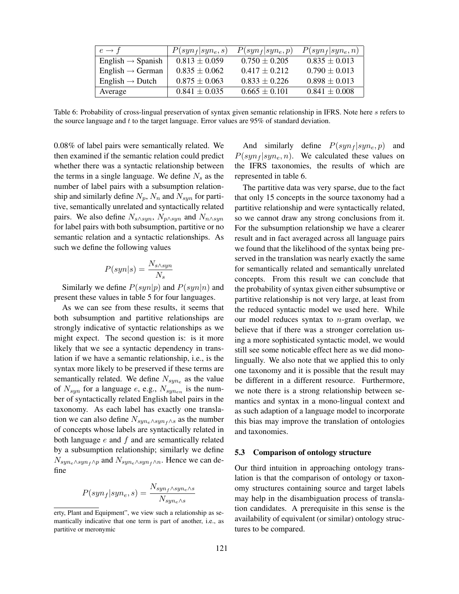| $e \rightarrow f$             | $P(syn_f syn_e, s)$ | $P(syn_f syn_e, p)$ | $P(syn_f syn_e, n)$ |
|-------------------------------|---------------------|---------------------|---------------------|
| English $\rightarrow$ Spanish | $0.813 \pm 0.059$   | $0.750 \pm 0.205$   | $0.835 \pm 0.013$   |
| English $\rightarrow$ German  | $0.835 \pm 0.062$   | $0.417 + 0.212$     | $0.790 \pm 0.013$   |
| English $\rightarrow$ Dutch   | $0.875 \pm 0.063$   | $0.833 \pm 0.226$   | $0.898 \pm 0.013$   |
| Average                       | $0.841 \pm 0.035$   | $0.665 \pm 0.101$   | $0.841 \pm 0.008$   |

Table 6: Probability of cross-lingual preservation of syntax given semantic relationship in IFRS. Note here *s* refers to the source language and *t* to the target language. Error values are 95% of standard deviation.

0.08% of label pairs were semantically related. We then examined if the semantic relation could predict whether there was a syntactic relationship between the terms in a single language. We define *N<sup>s</sup>* as the number of label pairs with a subsumption relationship and similarly define  $N_p$ ,  $N_n$  and  $N_{syn}$  for partitive, semantically unrelated and syntactically related pairs. We also define  $N_{s \wedge syn}$ ,  $N_{p \wedge syn}$  and  $N_{n \wedge syn}$ for label pairs with both subsumption, partitive or no semantic relation and a syntactic relationships. As such we define the following values

$$
P(syn|s) = \frac{N_{s \wedge syn}}{N_s}
$$

Similarly we define  $P(syn|p)$  and  $P(syn|n)$  and present these values in table 5 for four languages.

As we can see from these results, it seems that both subsumption and partitive relationships are strongly indicative of syntactic relationships as we might expect. The second question is: is it more likely that we see a syntactic dependency in translation if we have a semantic relationship, i.e., is the syntax more likely to be preserved if these terms are semantically related. We define *Nsyn<sup>e</sup>* as the value of  $N_{syn}$  for a language *e*, e.g.,  $N_{synen}$  is the number of syntactically related English label pairs in the taxonomy. As each label has exactly one translation we can also define *Nsyne∧syn<sup>f</sup> <sup>∧</sup><sup>s</sup>* as the number of concepts whose labels are syntactically related in both language *e* and *f* and are semantically related by a subsumption relationship; similarly we define  $N_{syn_e \wedge syn_f \wedge p}$  and  $N_{syn_e \wedge syn_f \wedge n}$ . Hence we can define

$$
P(syn_f|syn_e, s) = \frac{N_{syn_f \wedge syn_e \wedge s}}{N_{syn_e \wedge s}}
$$

And similarly define  $P(syn_f|syn_e, p)$  and  $P(syn_f|syn_e, n)$ . We calculated these values on the IFRS taxonomies, the results of which are represented in table 6.

The partitive data was very sparse, due to the fact that only 15 concepts in the source taxonomy had a partitive relationship and were syntactically related, so we cannot draw any strong conclusions from it. For the subsumption relationship we have a clearer result and in fact averaged across all language pairs we found that the likelihood of the syntax being preserved in the translation was nearly exactly the same for semantically related and semantically unrelated concepts. From this result we can conclude that the probability of syntax given either subsumptive or partitive relationship is not very large, at least from the reduced syntactic model we used here. While our model reduces syntax to *n*-gram overlap, we believe that if there was a stronger correlation using a more sophisticated syntactic model, we would still see some noticable effect here as we did monolingually. We also note that we applied this to only one taxonomy and it is possible that the result may be different in a different resource. Furthermore, we note there is a strong relationship between semantics and syntax in a mono-lingual context and as such adaption of a language model to incorporate this bias may improve the translation of ontologies and taxonomies.

#### 5.3 Comparison of ontology structure

Our third intuition in approaching ontology translation is that the comparison of ontology or taxonomy structures containing source and target labels may help in the disambiguation process of translation candidates. A prerequisite in this sense is the availability of equivalent (or similar) ontology structures to be compared.

erty, Plant and Equipment", we view such a relationship as semantically indicative that one term is part of another, i.e., as partitive or meronymic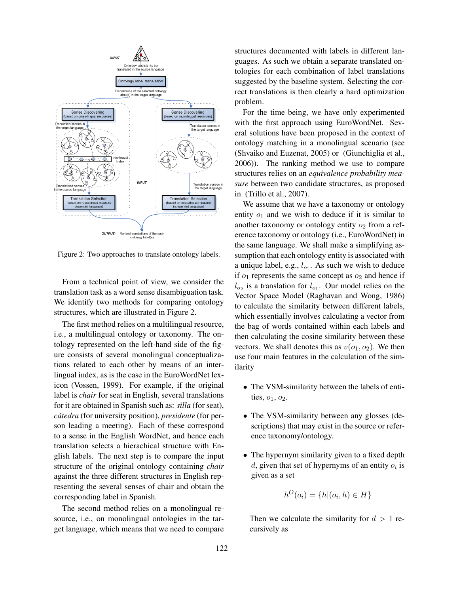

Figure 2: Two approaches to translate ontology labels.

From a technical point of view, we consider the translation task as a word sense disambiguation task. We identify two methods for comparing ontology structures, which are illustrated in Figure 2.

The first method relies on a multilingual resource, i.e., a multilingual ontology or taxonomy. The ontology represented on the left-hand side of the figure consists of several monolingual conceptualizations related to each other by means of an interlingual index, as is the case in the EuroWordNet lexicon (Vossen, 1999). For example, if the original label is *chair* for seat in English, several translations for it are obtained in Spanish such as: *silla* (for seat), *cátedra* (for university position), *presidente* (for person leading a meeting). Each of these correspond to a sense in the English WordNet, and hence each translation selects a hierachical structure with English labels. The next step is to compare the input structure of the original ontology containing *chair* against the three different structures in English representing the several senses of chair and obtain the corresponding label in Spanish.

The second method relies on a monolingual resource, i.e., on monolingual ontologies in the target language, which means that we need to compare structures documented with labels in different languages. As such we obtain a separate translated ontologies for each combination of label translations suggested by the baseline system. Selecting the correct translations is then clearly a hard optimization problem.

For the time being, we have only experimented with the first approach using EuroWordNet. Several solutions have been proposed in the context of ontology matching in a monolingual scenario (see (Shvaiko and Euzenat, 2005) or (Giunchiglia et al., 2006)). The ranking method we use to compare structures relies on an *equivalence probability measure* between two candidate structures, as proposed in (Trillo et al., 2007).

We assume that we have a taxonomy or ontology entity  $o_1$  and we wish to deduce if it is similar to another taxonomy or ontology entity  $o_2$  from a reference taxonomy or ontology (i.e., EuroWordNet) in the same language. We shall make a simplifying assumption that each ontology entity is associated with a unique label, e.g.,  $l_{o_1}$ . As such we wish to deduce if  $o_1$  represents the same concept as  $o_2$  and hence if  $l_{o_2}$  is a translation for  $l_{o_1}$ . Our model relies on the Vector Space Model (Raghavan and Wong, 1986) to calculate the similarity between different labels, which essentially involves calculating a vector from the bag of words contained within each labels and then calculating the cosine similarity between these vectors. We shall denotes this as  $v(o_1, o_2)$ . We then use four main features in the calculation of the similarity

- The VSM-similarity between the labels of entities,  $o_1$ ,  $o_2$ .
- The VSM-similarity between any glosses (descriptions) that may exist in the source or reference taxonomy/ontology.
- The hypernym similarity given to a fixed depth *d*, given that set of hypernyms of an entity *o<sup>i</sup>* is given as a set

$$
h^O(o_i) = \{h | (o_i, h) \in H\}
$$

Then we calculate the similarity for  $d > 1$  recursively as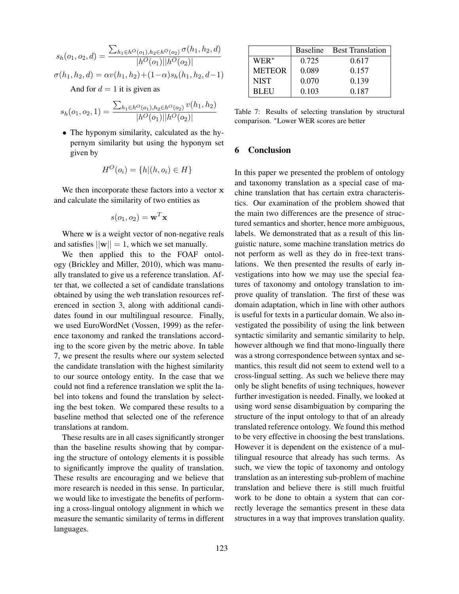$$
s_h(o_1, o_2, d) = \frac{\sum_{h_1 \in h^O(o_1), h_2 \in h^O(o_2)} \sigma(h_1, h_2, d)}{|h^O(o_1)||h^O(o_2)|}
$$

$$
\sigma(h_1, h_2, d) = \alpha v(h_1, h_2) + (1 - \alpha)s_h(h_1, h_2, d - 1)
$$

And for  $d = 1$  it is given as

$$
s_h(o_1, o_2, 1) = \frac{\sum_{h_1 \in h^O(o_1), h_2 \in h^O(o_2)} v(h_1, h_2)}{|h^O(o_1)||h^O(o_2)|}
$$

*•* The hyponym similarity, calculated as the hypernym similarity but using the hyponym set given by

$$
H^O(o_i) = \{h | (h, o_i) \in H\}
$$

We then incorporate these factors into a vector **x** and calculate the similarity of two entities as

$$
s(o_1, o_2) = \mathbf{w}^T \mathbf{x}
$$

Where **w** is a weight vector of non-negative reals and satisfies  $||\mathbf{w}|| = 1$ , which we set manually.

We then applied this to the FOAF ontology (Brickley and Miller, 2010), which was manually translated to give us a reference translation. After that, we collected a set of candidate translations obtained by using the web translation resources referenced in section 3, along with additional candidates found in our multilingual resource. Finally, we used EuroWordNet (Vossen, 1999) as the reference taxonomy and ranked the translations according to the score given by the metric above. In table 7, we present the results where our system selected the candidate translation with the highest similarity to our source ontology entity. In the case that we could not find a reference translation we split the label into tokens and found the translation by selecting the best token. We compared these results to a baseline method that selected one of the reference translations at random.

These results are in all cases significantly stronger than the baseline results showing that by comparing the structure of ontology elements it is possible to significantly improve the quality of translation. These results are encouraging and we believe that more research is needed in this sense. In particular, we would like to investigate the benefits of performing a cross-lingual ontology alignment in which we measure the semantic similarity of terms in different languages.

|               |       | Baseline Best Translation |
|---------------|-------|---------------------------|
| $WER^*$       | 0.725 | 0.617                     |
| <b>METEOR</b> | 0.089 | 0.157                     |
| <b>NIST</b>   | 0.070 | 0.139                     |
| <b>BLEU</b>   | 0.103 | 0.187                     |

Table 7: Results of selecting translation by structural comparison. *<sup>∗</sup>*Lower WER scores are better

#### 6 Conclusion

In this paper we presented the problem of ontology and taxonomy translation as a special case of machine translation that has certain extra characteristics. Our examination of the problem showed that the main two differences are the presence of structured semantics and shorter, hence more ambiguous, labels. We demonstrated that as a result of this linguistic nature, some machine translation metrics do not perform as well as they do in free-text translations. We then presented the results of early investigations into how we may use the special features of taxonomy and ontology translation to improve quality of translation. The first of these was domain adaptation, which in line with other authors is useful for texts in a particular domain. We also investigated the possibility of using the link between syntactic similarity and semantic similarity to help, however although we find that mono-lingually there was a strong correspondence between syntax and semantics, this result did not seem to extend well to a cross-lingual setting. As such we believe there may only be slight benefits of using techniques, however further investigation is needed. Finally, we looked at using word sense disambiguation by comparing the structure of the input ontology to that of an already translated reference ontology. We found this method to be very effective in choosing the best translations. However it is dependent on the existence of a multilingual resource that already has such terms. As such, we view the topic of taxonomy and ontology translation as an interesting sub-problem of machine translation and believe there is still much fruitful work to be done to obtain a system that can correctly leverage the semantics present in these data structures in a way that improves translation quality.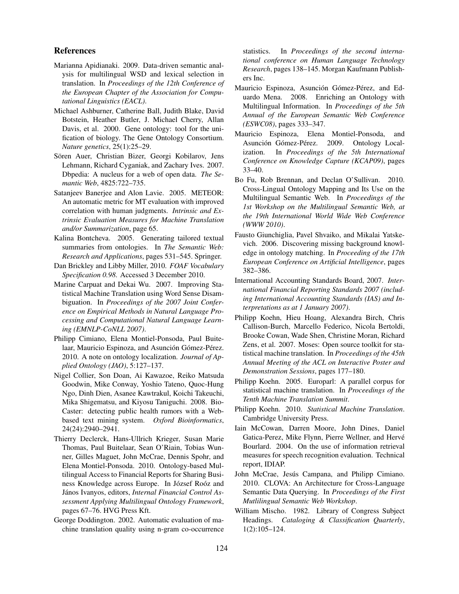#### References

- Marianna Apidianaki. 2009. Data-driven semantic analysis for multilingual WSD and lexical selection in translation. In *Proceedings of the 12th Conference of the European Chapter of the Association for Computational Linguistics (EACL)*.
- Michael Ashburner, Catherine Ball, Judith Blake, David Botstein, Heather Butler, J. Michael Cherry, Allan Davis, et al. 2000. Gene ontology: tool for the unification of biology. The Gene Ontology Consortium. *Nature genetics*, 25(1):25–29.
- Sören Auer, Christian Bizer, Georgi Kobilarov, Jens Lehmann, Richard Cyganiak, and Zachary Ives. 2007. Dbpedia: A nucleus for a web of open data. *The Semantic Web*, 4825:722–735.
- Satanjeev Banerjee and Alon Lavie. 2005. METEOR: An automatic metric for MT evaluation with improved correlation with human judgments. *Intrinsic and Extrinsic Evaluation Measures for Machine Translation and/or Summarization*, page 65.
- Kalina Bontcheva. 2005. Generating tailored textual summaries from ontologies. In *The Semantic Web: Research and Applications*, pages 531–545. Springer.
- Dan Brickley and Libby Miller, 2010. *FOAF Vocabulary Specification 0.98*. Accessed 3 December 2010.
- Marine Carpuat and Dekai Wu. 2007. Improving Statistical Machine Translation using Word Sense Disambiguation. In *Proceedings of the 2007 Joint Conference on Empirical Methods in Natural Language Processing and Computational Natural Language Learning (EMNLP-CoNLL 2007)*.
- Philipp Cimiano, Elena Montiel-Ponsoda, Paul Buitelaar, Mauricio Espinoza, and Asunción Gómez-Pérez. 2010. A note on ontology localization. *Journal of Applied Ontology (JAO)*, 5:127–137.
- Nigel Collier, Son Doan, Ai Kawazoe, Reiko Matsuda Goodwin, Mike Conway, Yoshio Tateno, Quoc-Hung Ngo, Dinh Dien, Asanee Kawtrakul, Koichi Takeuchi, Mika Shigematsu, and Kiyosu Taniguchi. 2008. Bio-Caster: detecting public health rumors with a Webbased text mining system. *Oxford Bioinformatics*, 24(24):2940–2941.
- Thierry Declerck, Hans-Ullrich Krieger, Susan Marie Thomas, Paul Buitelaar, Sean O'Riain, Tobias Wunner, Gilles Maguet, John McCrae, Dennis Spohr, and Elena Montiel-Ponsoda. 2010. Ontology-based Multilingual Access to Financial Reports for Sharing Business Knowledge across Europe. In József Roóz and János Ivanyos, editors, *Internal Financial Control Assessment Applying Multilingual Ontology Framework*, pages 67–76. HVG Press Kft.
- George Doddington. 2002. Automatic evaluation of machine translation quality using n-gram co-occurrence

statistics. In *Proceedings of the second international conference on Human Language Technology Research*, pages 138–145. Morgan Kaufmann Publishers Inc.

- Mauricio Espinoza, Asunción Gómez-Pérez, and Eduardo Mena. 2008. Enriching an Ontology with Multilingual Information. In *Proceedings of the 5th Annual of the European Semantic Web Conference (ESWC08)*, pages 333–347.
- Mauricio Espinoza, Elena Montiel-Ponsoda, and Asunción Gómez-Pérez. 2009. Ontology Localization. In *Proceedings of the 5th International Conference on Knowledge Capture (KCAP09)*, pages 33–40.
- Bo Fu, Rob Brennan, and Declan O'Sullivan. 2010. Cross-Lingual Ontology Mapping and Its Use on the Multilingual Semantic Web. In *Proceedings of the 1st Workshop on the Multilingual Semantic Web, at the 19th International World Wide Web Conference (WWW 2010)*.
- Fausto Giunchiglia, Pavel Shvaiko, and Mikalai Yatskevich. 2006. Discovering missing background knowledge in ontology matching. In *Proceeding of the 17th European Conference on Artificial Intelligence*, pages 382–386.
- International Accounting Standards Board, 2007. *International Financial Reporting Standards 2007 (including International Accounting Standards (IAS) and Interpretations as at 1 January 2007)*.
- Philipp Koehn, Hieu Hoang, Alexandra Birch, Chris Callison-Burch, Marcello Federico, Nicola Bertoldi, Brooke Cowan, Wade Shen, Christine Moran, Richard Zens, et al. 2007. Moses: Open source toolkit for statistical machine translation. In *Proceedings of the 45th Annual Meeting of the ACL on Interactive Poster and Demonstration Sessions*, pages 177–180.
- Philipp Koehn. 2005. Europarl: A parallel corpus for statistical machine translation. In *Proceedings of the Tenth Machine Translation Summit*.
- Philipp Koehn. 2010. *Statistical Machine Translation*. Cambridge University Press.
- Iain McCowan, Darren Moore, John Dines, Daniel Gatica-Perez, Mike Flynn, Pierre Wellner, and Hervé Bourlard. 2004. On the use of information retrieval measures for speech recognition evaluation. Technical report, IDIAP.
- John McCrae, Jesús Campana, and Philipp Cimiano. 2010. CLOVA: An Architecture for Cross-Language Semantic Data Querying. In *Proceedings of the First Mutlilingual Semantic Web Workshop*.
- William Mischo. 1982. Library of Congress Subject Headings. *Cataloging & Classification Quarterly*, 1(2):105–124.